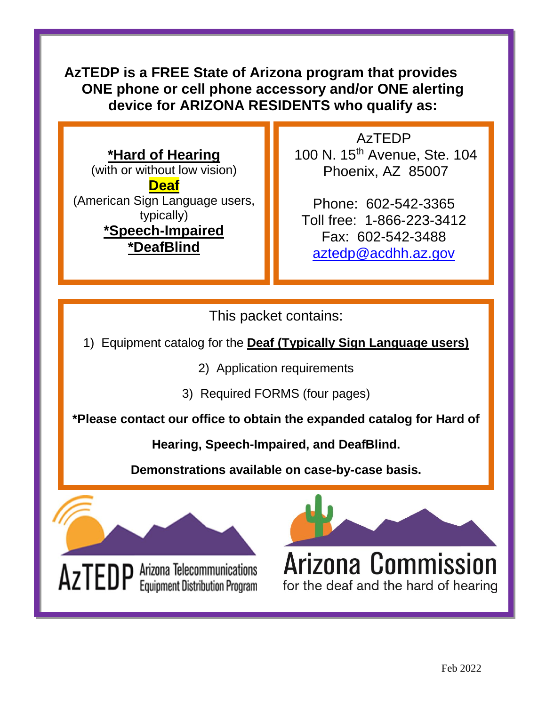# **AzTEDP is a FREE State of Arizona program that provides ONE phone or cell phone accessory and/or ONE alerting device for ARIZONA RESIDENTS who qualify as:**

# **\*Hard of Hearing**

(with or without low vision) **Deaf** (American Sign Language users, typically) **\*Speech-Impaired \*DeafBlind**

AzTEDP 100 N. 15<sup>th</sup> Avenue, Ste. 104 Phoenix, AZ 85007

Phone: 602-542-3365 Toll free: 1-866-223-3412 Fax: 602-542-3488 [aztedp@acdhh.az.gov](mailto:aztedp@acdhh.az.gov)

This packet contains:

1) Equipment catalog for the **Deaf (Typically Sign Language users)**

2) Application requirements

3) Required FORMS (four pages)

**\*Please contact our office to obtain the expanded catalog for Hard of** 

**Hearing, Speech-Impaired, and DeafBlind.** 

**Demonstrations available on case-by-case basis.**

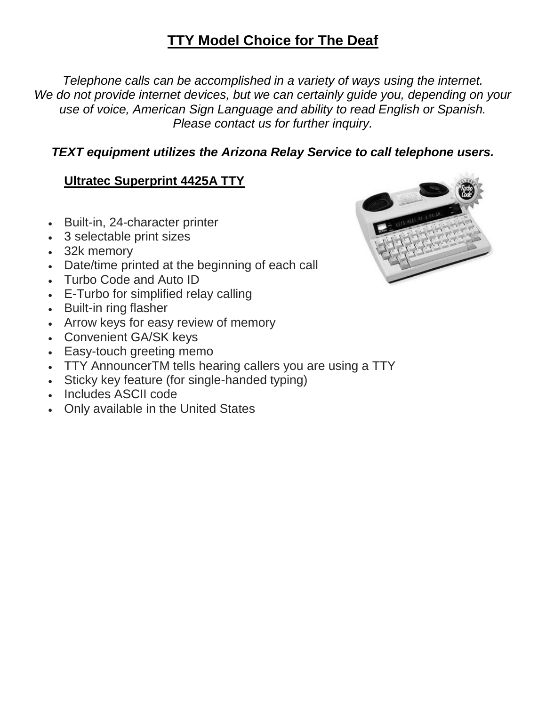# **TTY Model Choice for The Deaf**

*Telephone calls can be accomplished in a variety of ways using the internet. We do not provide internet devices, but we can certainly guide you, depending on your use of voice, American Sign Language and ability to read English or Spanish. Please contact us for further inquiry.*

## *TEXT equipment utilizes the Arizona Relay Service to call telephone users.*

# **Ultratec Superprint 4425A TTY**

- Built-in, 24-character printer
- 3 selectable print sizes
- 32k memory
- Date/time printed at the beginning of each call
- Turbo Code and Auto ID
- E-Turbo for simplified relay calling
- Built-in ring flasher
- Arrow keys for easy review of memory
- Convenient GA/SK keys
- Easy-touch greeting memo
- TTY AnnouncerTM tells hearing callers you are using a TTY
- Sticky key feature (for single-handed typing)
- Includes ASCII code
- Only available in the United States

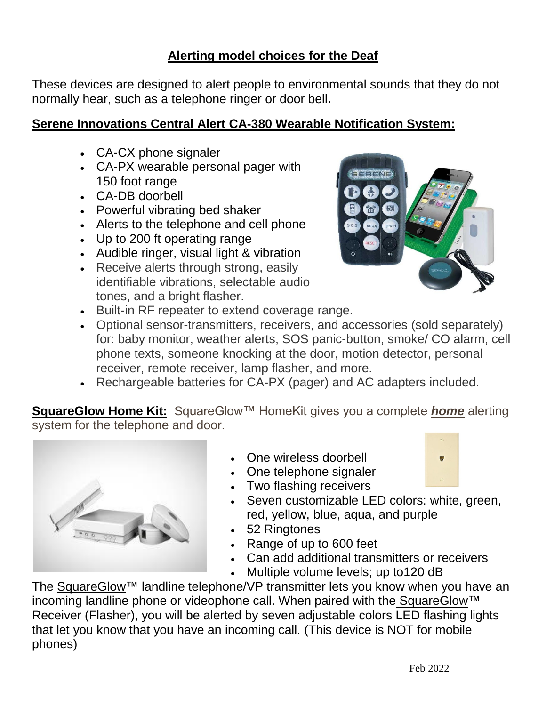# **Alerting model choices for the Deaf**

These devices are designed to alert people to environmental sounds that they do not normally hear, such as a telephone ringer or door bell**.** 

#### **Serene Innovations Central Alert CA-380 Wearable Notification System:**

- CA-CX phone signaler
- CA-PX wearable personal pager with 150 foot range
- CA-DB doorbell
- Powerful vibrating bed shaker
- Alerts to the telephone and cell phone
- Up to 200 ft operating range
- Audible ringer, visual light & vibration
- Receive alerts through strong, easily identifiable vibrations, selectable audio tones, and a bright flasher.



- Built-in RF repeater to extend coverage range.
- Optional sensor-transmitters, receivers, and accessories (sold separately) for: baby monitor, weather alerts, SOS panic-button, smoke/ CO alarm, cell phone texts, someone knocking at the door, motion detector, personal receiver, remote receiver, lamp flasher, and more.
- Rechargeable batteries for CA-PX (pager) and AC adapters included.

**SquareGlow Home Kit:** SquareGlow™ HomeKit gives you a complete *home* alerting system for the telephone and door.



- One wireless doorbell
- One telephone signaler



- Two flashing receivers • Seven customizable LED colors: white, green,
	- red, yellow, blue, aqua, and purple
- 52 Ringtones
- Range of up to 600 feet
- Can add additional transmitters or receivers
- Multiple volume levels; up to 120 dB

The [SquareGlow™](https://www.squareglow.com/) landline telephone/VP transmitter lets you know when you have an incoming landline phone or videophone call. When paired with the [SquareGlow™](https://www.squareglow.com/) Receiver (Flasher), you will be alerted by seven adjustable colors LED flashing lights that let you know that you have an incoming call. (This device is NOT for mobile phones)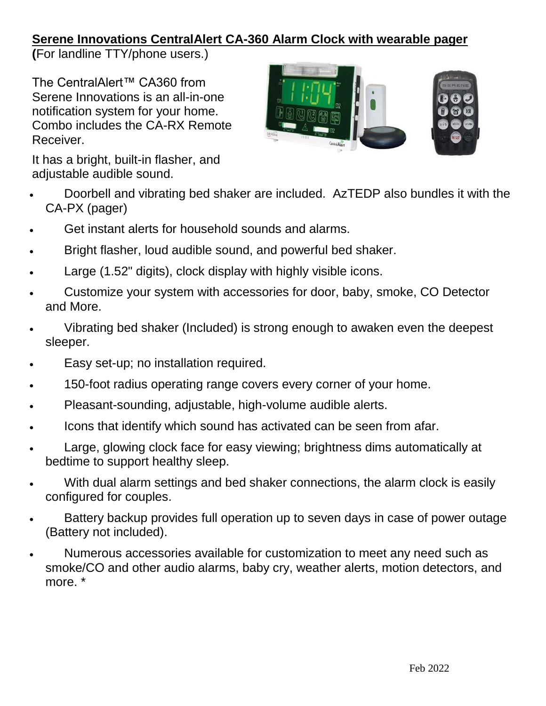## **Serene Innovations CentralAlert CA-360 Alarm Clock with wearable pager**

**(**For landline TTY/phone users.)

The CentralAlert™ CA360 from Serene Innovations is an all-in-one notification system for your home. Combo includes the CA-RX Remote Receiver.



It has a bright, built-in flasher, and adjustable audible sound.

- Doorbell and vibrating bed shaker are included. AzTEDP also bundles it with the CA-PX (pager)
- Get instant alerts for household sounds and alarms.
- Bright flasher, loud audible sound, and powerful bed shaker.
- Large (1.52" digits), clock display with highly visible icons.
- Customize your system with accessories for door, baby, smoke, CO Detector and More.
- Vibrating bed shaker (Included) is strong enough to awaken even the deepest sleeper.
- Easy set-up; no installation required.
- 150-foot radius operating range covers every corner of your home.
- Pleasant-sounding, adjustable, high-volume audible alerts.
- Icons that identify which sound has activated can be seen from afar.
- Large, glowing clock face for easy viewing; brightness dims automatically at bedtime to support healthy sleep.
- With dual alarm settings and bed shaker connections, the alarm clock is easily configured for couples.
- Battery backup provides full operation up to seven days in case of power outage (Battery not included).
- Numerous accessories available for customization to meet any need such as smoke/CO and other audio alarms, baby cry, weather alerts, motion detectors, and more. \*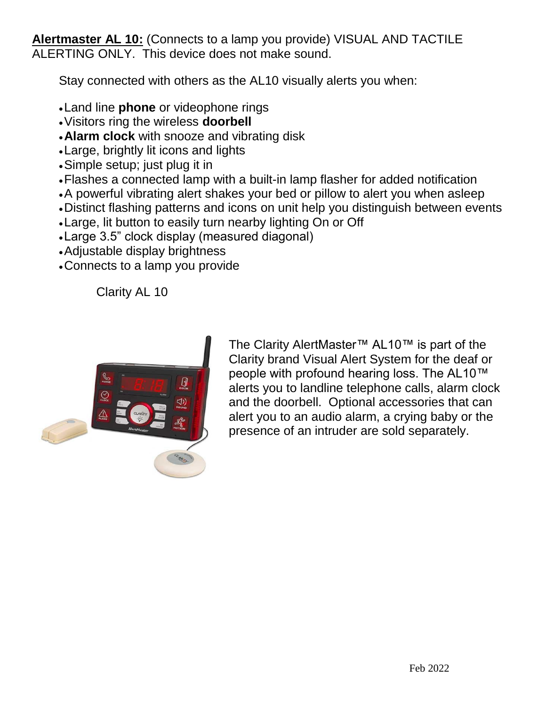**Alertmaster AL 10:** (Connects to a lamp you provide) VISUAL AND TACTILE ALERTING ONLY. This device does not make sound.

Stay connected with others as the AL10 visually alerts you when:

- •Land line **phone** or videophone rings
- •Visitors ring the wireless **doorbell**
- •**Alarm clock** with snooze and vibrating disk
- •Large, brightly lit icons and lights
- •Simple setup; just plug it in
- •Flashes a connected lamp with a built-in lamp flasher for added notification
- •A powerful vibrating alert shakes your bed or pillow to alert you when asleep
- •Distinct flashing patterns and icons on unit help you distinguish between events
- •Large, lit button to easily turn nearby lighting On or Off
- •Large 3.5" clock display (measured diagonal)
- •Adjustable display brightness
- •Connects to a lamp you provide

Clarity AL 10



The Clarity AlertMaster™ AL10™ is part of the Clarity brand Visual Alert System for the deaf or people with profound hearing loss. The AL10™ alerts you to landline telephone calls, alarm clock and the doorbell. Optional accessories that can alert you to an audio alarm, a crying baby or the presence of an intruder are sold separately.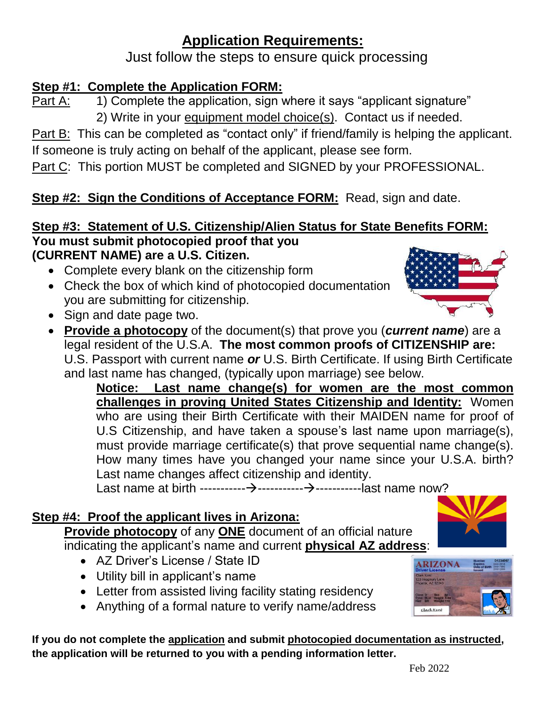# **Application Requirements:**

Just follow the steps to ensure quick processing

# **Step #1: Complete the Application FORM:**

Part A: 1) Complete the application, sign where it says "applicant signature" 2) Write in your equipment model choice(s). Contact us if needed.

Part B: This can be completed as "contact only" if friend/family is helping the applicant. If someone is truly acting on behalf of the applicant, please see form.

Part C: This portion MUST be completed and SIGNED by your PROFESSIONAL.

# **Step #2: Sign the Conditions of Acceptance FORM: Read, sign and date.**

#### **Step #3: Statement of U.S. Citizenship/Alien Status for State Benefits FORM: You must submit photocopied proof that you (CURRENT NAME) are a U.S. Citizen.**

- Complete every blank on the citizenship form
- Check the box of which kind of photocopied documentation you are submitting for citizenship.
- Sign and date page two.
- **Provide a photocopy** of the document(s) that prove you (*current name*) are a legal resident of the U.S.A. **The most common proofs of CITIZENSHIP are:** U.S. Passport with current name *or* U.S. Birth Certificate. If using Birth Certificate and last name has changed, (typically upon marriage) see below.

**Notice: Last name change(s) for women are the most common challenges in proving United States Citizenship and Identity:** Women who are using their Birth Certificate with their MAIDEN name for proof of U.S Citizenship, and have taken a spouse's last name upon marriage(s), must provide marriage certificate(s) that prove sequential name change(s). How many times have you changed your name since your U.S.A. birth? Last name changes affect citizenship and identity.

Last name at birth -----------→-----------→-----------last name now?

## **Step #4: Proof the applicant lives in Arizona:**

**Provide photocopy** of any **ONE** document of an official nature indicating the applicant's name and current **physical AZ address**:

- AZ Driver's License / State ID
- Utility bill in applicant's name
- Letter from assisted living facility stating residency
- Anything of a formal nature to verify name/address

**If you do not complete the application and submit photocopied documentation as instructed, the application will be returned to you with a pending information letter.** 





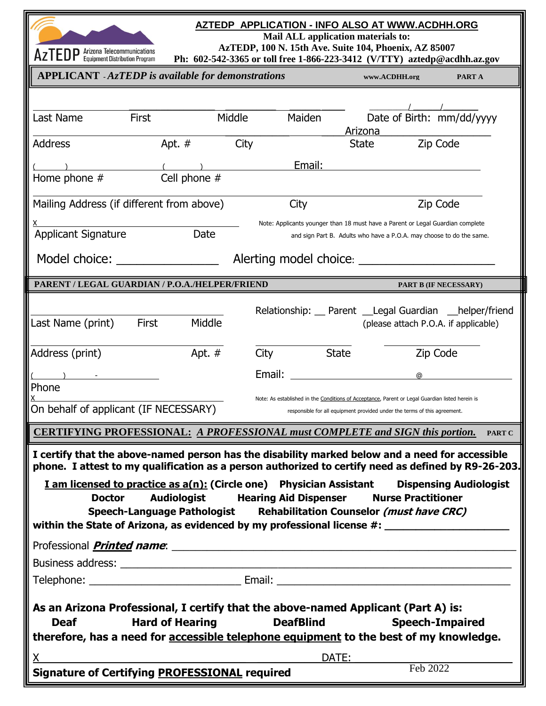

#### **AZTEDP APPLICATION - INFO ALSO AT WWW.ACDHH.ORG**

**Mail ALL application materials to:**

**AzTEDP, 100 N. 15th Ave. Suite 104, Phoenix, AZ 85007**

| $ALI LUIF$ Equipment Distribution Program                                                            |                                                                                                      |        |              | Ph: 602-542-3365 or toll free 1-866-223-3412 (V/TTY) aztedp@acdhh.az.gov                                                                                                     |               |  |  |
|------------------------------------------------------------------------------------------------------|------------------------------------------------------------------------------------------------------|--------|--------------|------------------------------------------------------------------------------------------------------------------------------------------------------------------------------|---------------|--|--|
| <b>APPLICANT</b> - AzTEDP is available for demonstrations                                            |                                                                                                      |        |              | www.ACDHH.org                                                                                                                                                                | PART A        |  |  |
|                                                                                                      |                                                                                                      |        |              |                                                                                                                                                                              |               |  |  |
| Last Name                                                                                            | <b>First</b>                                                                                         | Middle | Maiden       | Date of Birth: mm/dd/yyyy                                                                                                                                                    |               |  |  |
|                                                                                                      |                                                                                                      |        |              | Arizona                                                                                                                                                                      |               |  |  |
| Address                                                                                              | Apt. $#$                                                                                             | City   |              | State                                                                                                                                                                        | Zip Code      |  |  |
|                                                                                                      |                                                                                                      |        | Email:       |                                                                                                                                                                              |               |  |  |
| Home phone #                                                                                         | Cell phone #                                                                                         |        |              |                                                                                                                                                                              |               |  |  |
| Mailing Address (if different from above)                                                            |                                                                                                      |        | City         |                                                                                                                                                                              | Zip Code      |  |  |
|                                                                                                      |                                                                                                      |        |              | Note: Applicants younger than 18 must have a Parent or Legal Guardian complete                                                                                               |               |  |  |
| <b>Applicant Signature</b>                                                                           | Date                                                                                                 |        |              | and sign Part B. Adults who have a P.O.A. may choose to do the same.                                                                                                         |               |  |  |
| Model choice: ________________<br>Alerting model choice: _______                                     |                                                                                                      |        |              |                                                                                                                                                                              |               |  |  |
| PARENT / LEGAL GUARDIAN / P.O.A./HELPER/FRIEND<br><b>PART B (IF NECESSARY)</b>                       |                                                                                                      |        |              |                                                                                                                                                                              |               |  |  |
|                                                                                                      |                                                                                                      |        |              |                                                                                                                                                                              |               |  |  |
| Last Name (print)                                                                                    | First<br>Middle                                                                                      |        |              | Relationship: __ Parent __Legal Guardian __helper/friend<br>(please attach P.O.A. if applicable)                                                                             |               |  |  |
|                                                                                                      |                                                                                                      |        |              |                                                                                                                                                                              |               |  |  |
| Address (print)                                                                                      | Apt. #                                                                                               | City   | <b>State</b> |                                                                                                                                                                              | Zip Code      |  |  |
|                                                                                                      |                                                                                                      | Email: |              | ര                                                                                                                                                                            |               |  |  |
| Phone                                                                                                |                                                                                                      |        |              |                                                                                                                                                                              |               |  |  |
| On behalf of applicant (IF NECESSARY)                                                                |                                                                                                      |        |              | Note: As established in the Conditions of Acceptance, Parent or Legal Guardian listed herein is<br>responsible for all equipment provided under the terms of this agreement. |               |  |  |
|                                                                                                      |                                                                                                      |        |              |                                                                                                                                                                              |               |  |  |
| <b>CERTIFYING PROFESSIONAL: A PROFESSIONAL must COMPLETE and SIGN this portion.</b>                  |                                                                                                      |        |              |                                                                                                                                                                              | <b>PART C</b> |  |  |
| I certify that the above-named person has the disability marked below and a need for accessible      |                                                                                                      |        |              |                                                                                                                                                                              |               |  |  |
| phone. I attest to my qualification as a person authorized to certify need as defined by R9-26-203.  |                                                                                                      |        |              |                                                                                                                                                                              |               |  |  |
|                                                                                                      | <b>I</b> am licensed to practice as $a(n)$ : (Circle one) Physician Assistant Dispensing Audiologist |        |              |                                                                                                                                                                              |               |  |  |
| <b>Doctor</b>                                                                                        | <b>Audiologist Hearing Aid Dispenser</b>                                                             |        |              | <b>Nurse Practitioner</b>                                                                                                                                                    |               |  |  |
| within the State of Arizona, as evidenced by my professional license #: ____________________________ | Speech-Language Pathologist Rehabilitation Counselor (must have CRC)                                 |        |              |                                                                                                                                                                              |               |  |  |
|                                                                                                      |                                                                                                      |        |              |                                                                                                                                                                              |               |  |  |
|                                                                                                      |                                                                                                      |        |              |                                                                                                                                                                              |               |  |  |
|                                                                                                      |                                                                                                      |        |              |                                                                                                                                                                              |               |  |  |
|                                                                                                      |                                                                                                      |        |              |                                                                                                                                                                              |               |  |  |
| As an Arizona Professional, I certify that the above-named Applicant (Part A) is:                    |                                                                                                      |        |              |                                                                                                                                                                              |               |  |  |
| <b>Hard of Hearing</b><br><b>DeafBlind</b><br><b>Deaf</b><br><b>Speech-Impaired</b>                  |                                                                                                      |        |              |                                                                                                                                                                              |               |  |  |
| therefore, has a need for accessible telephone equipment to the best of my knowledge.                |                                                                                                      |        |              |                                                                                                                                                                              |               |  |  |
| X.                                                                                                   | <u> 1989 - Johann John Stone, markin fizikar (h. 1982).</u>                                          |        | DATE:        |                                                                                                                                                                              |               |  |  |
| <b>Signature of Certifying PROFESSIONAL required</b>                                                 |                                                                                                      |        |              | Feb 2022                                                                                                                                                                     |               |  |  |
|                                                                                                      |                                                                                                      |        |              |                                                                                                                                                                              |               |  |  |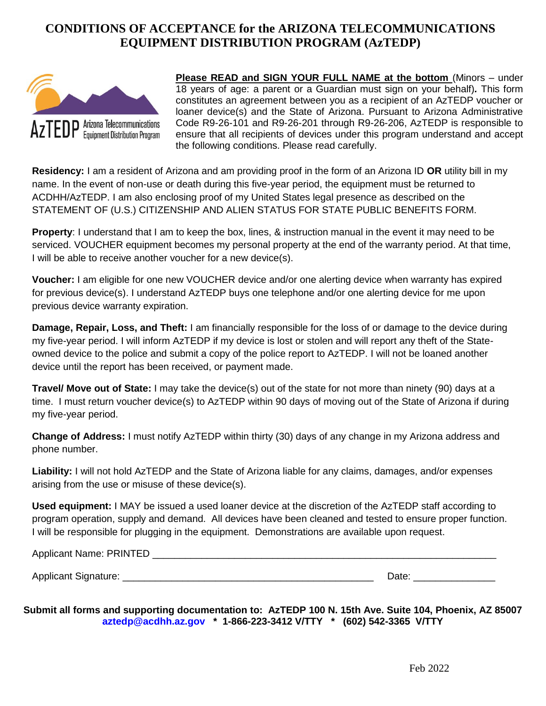#### **CONDITIONS OF ACCEPTANCE for the ARIZONA TELECOMMUNICATIONS EQUIPMENT DISTRIBUTION PROGRAM (AzTEDP)**



**Please READ and SIGN YOUR FULL NAME at the bottom** (Minors – under 18 years of age: a parent or a Guardian must sign on your behalf)*.* This form constitutes an agreement between you as a recipient of an AzTEDP voucher or loaner device(s) and the State of Arizona. Pursuant to Arizona Administrative Code R9-26-101 and R9-26-201 through R9-26-206, AzTEDP is responsible to ensure that all recipients of devices under this program understand and accept the following conditions. Please read carefully.

**Residency:** I am a resident of Arizona and am providing proof in the form of an Arizona ID **OR** utility bill in my name. In the event of non-use or death during this five-year period, the equipment must be returned to ACDHH/AzTEDP. I am also enclosing proof of my United States legal presence as described on the STATEMENT OF (U.S.) CITIZENSHIP AND ALIEN STATUS FOR STATE PUBLIC BENEFITS FORM.

**Property**: I understand that I am to keep the box, lines, & instruction manual in the event it may need to be serviced. VOUCHER equipment becomes my personal property at the end of the warranty period. At that time, I will be able to receive another voucher for a new device(s).

**Voucher:** I am eligible for one new VOUCHER device and/or one alerting device when warranty has expired for previous device(s). I understand AzTEDP buys one telephone and/or one alerting device for me upon previous device warranty expiration.

**Damage, Repair, Loss, and Theft:** I am financially responsible for the loss of or damage to the device during my five-year period. I will inform AzTEDP if my device is lost or stolen and will report any theft of the Stateowned device to the police and submit a copy of the police report to AzTEDP. I will not be loaned another device until the report has been received, or payment made.

**Travel/ Move out of State:** I may take the device(s) out of the state for not more than ninety (90) days at a time. I must return voucher device(s) to AzTEDP within 90 days of moving out of the State of Arizona if during my five-year period.

**Change of Address:** I must notify AzTEDP within thirty (30) days of any change in my Arizona address and phone number.

**Liability:** I will not hold AzTEDP and the State of Arizona liable for any claims, damages, and/or expenses arising from the use or misuse of these device(s).

**Used equipment:** I MAY be issued a used loaner device at the discretion of the AzTEDP staff according to program operation, supply and demand. All devices have been cleaned and tested to ensure proper function. I will be responsible for plugging in the equipment. Demonstrations are available upon request.

Applicant Name: PRINTED **Example 20** 

Applicant Signature: \_\_\_\_\_\_\_\_\_\_\_\_\_\_\_\_\_\_\_\_\_\_\_\_\_\_\_\_\_\_\_\_\_\_\_\_\_\_\_\_\_\_\_\_\_\_ Date: \_\_\_\_\_\_\_\_\_\_\_\_\_\_\_

**Submit all forms and supporting documentation to: AzTEDP 100 N. 15th Ave. Suite 104, Phoenix, AZ 85007 [aztedp@acdhh.az.gov](mailto:aztedp@acdhh.az.gov) \* 1-866-223-3412 V/TTY \* (602) 542-3365 V/TTY**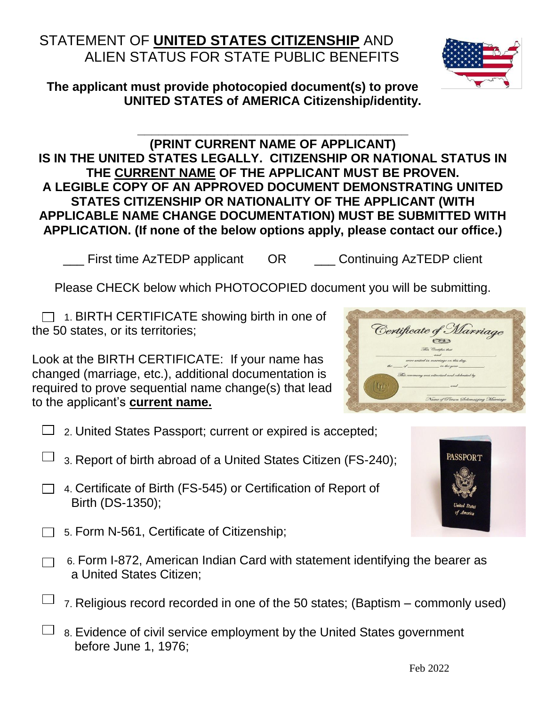# STATEMENT OF **UNITED STATES CITIZENSHIP** AND ALIEN STATUS FOR STATE PUBLIC BENEFITS

Feb 2022

**The applicant must provide photocopied document(s) to prove UNITED STATES of AMERICA Citizenship/identity.**

#### **(PRINT CURRENT NAME OF APPLICANT) IS IN THE UNITED STATES LEGALLY. CITIZENSHIP OR NATIONAL STATUS IN THE CURRENT NAME OF THE APPLICANT MUST BE PROVEN. A LEGIBLE COPY OF AN APPROVED DOCUMENT DEMONSTRATING UNITED STATES CITIZENSHIP OR NATIONALITY OF THE APPLICANT (WITH APPLICABLE NAME CHANGE DOCUMENTATION) MUST BE SUBMITTED WITH APPLICATION. (If none of the below options apply, please contact our office.)**

**\_\_\_\_\_\_\_\_\_\_\_\_\_\_\_\_\_\_\_\_\_\_\_\_\_\_\_\_\_\_\_\_\_\_\_\_\_\_\_**

\_\_\_ First time AzTEDP applicant OR \_\_\_ Continuing AzTEDP client

Please CHECK below which PHOTOCOPIED document you will be submitting.

 $\Box$  1. BIRTH CERTIFICATE showing birth in one of the 50 states, or its territories;

Look at the BIRTH CERTIFICATE: If your name has changed (marriage, etc.), additional documentation is required to prove sequential name change(s) that lead to the applicant's **current name.**

- $\Box$  2. United States Passport; current or expired is accepted;
- 3. Report of birth abroad of a United States Citizen (FS-240);
- □ 4. Certificate of Birth (FS-545) or Certification of Report of Birth (DS-1350);
- $\Box$  5. Form N-561, Certificate of Citizenship;
	- 6. Form I-872, American Indian Card with statement identifying the bearer as a United States Citizen;
	- 7. Religious record recorded in one of the 50 states; (Baptism commonly used)
- $\Box$  8. Evidence of civil service employment by the United States government before June 1, 1976;





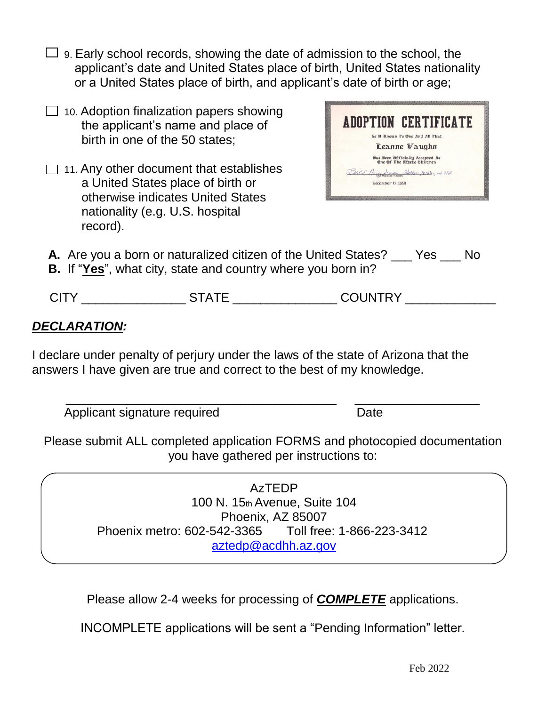- $\Box$  9. Early school records, showing the date of admission to the school, the applicant's date and United States place of birth, United States nationality or a United States place of birth, and applicant's date of birth or age;
- $\Box$  10. Adoption finalization papers showing the applicant's name and place of birth in one of the 50 states;
- $\Box$  11. Any other document that establishes a United States place of birth or otherwise indicates United States nationality (e.g. U.S. hospital record).



- **A.** Are you a born or naturalized citizen of the United States? Yes No
- **B.** If "**Yes**", what city, state and country where you born in?

| $\ddot{\phantom{0}}$ | . | י ∨פי<br>. I N<br>- - |
|----------------------|---|-----------------------|
|                      |   |                       |

## *DECLARATION:*

I declare under penalty of perjury under the laws of the state of Arizona that the answers I have given are true and correct to the best of my knowledge.

Applicant signature required Date

Please submit ALL completed application FORMS and photocopied documentation you have gathered per instructions to:

\_\_\_\_\_\_\_\_\_\_\_\_\_\_\_\_\_\_\_\_\_\_\_\_\_\_\_\_\_\_\_\_\_\_\_\_\_\_\_ \_\_\_\_\_\_\_\_\_\_\_\_\_\_\_\_\_\_

AzTEDP 100 N. 15th Avenue, Suite 104 Phoenix, AZ 85007 Phoenix metro: 602-542-3365 Toll free: 1-866-223-3412 [aztedp@acdhh.az.gov](mailto:aztedp@acdhh.az.gov)

Please allow 2-4 weeks for processing of *COMPLETE* applications.

INCOMPLETE applications will be sent a "Pending Information" letter.